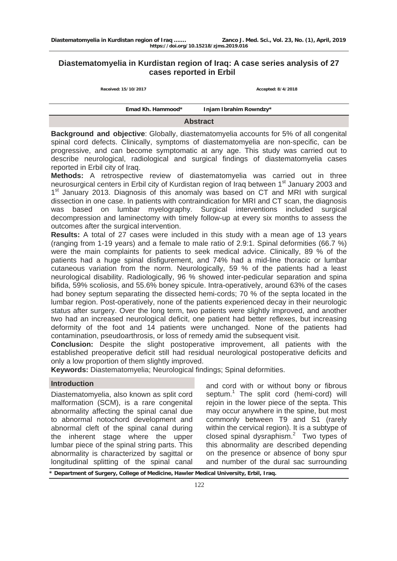# **Diastematomyelia in Kurdistan region of Iraq: A case series analysis of 27 cases reported in Erbil**

**Received: 15/10/2017 Accepted: 8/4/2018**

|                 | Emad Kh. Hammood* | Injam Ibrahim Rowndzy* |  |
|-----------------|-------------------|------------------------|--|
| <b>Abstract</b> |                   |                        |  |

**Background and objective**: Globally, diastematomyelia accounts for 5% of all congenital spinal cord defects. Clinically, symptoms of diastematomyelia are non-specific, can be progressive, and can become symptomatic at any age. This study was carried out to describe neurological, radiological and surgical findings of diastematomyelia cases reported in Erbil city of Iraq.

**Methods:** A retrospective review of diastematomyelia was carried out in three neurosurgical centers in Erbil city of Kurdistan region of Iraq between 1<sup>st</sup> January 2003 and 1<sup>st</sup> January 2013. Diagnosis of this anomaly was based on CT and MRI with surgical dissection in one case. In patients with contraindication for MRI and CT scan, the diagnosis was based on lumbar myelography. Surgical interventions included surgical decompression and laminectomy with timely follow-up at every six months to assess the outcomes after the surgical intervention.

**Results:** A total of 27 cases were included in this study with a mean age of 13 years (ranging from 1-19 years) and a female to male ratio of 2.9:1. Spinal deformities (66.7 %) were the main complaints for patients to seek medical advice. Clinically, 89 % of the patients had a huge spinal disfigurement, and 74% had a mid-line thoracic or lumbar cutaneous variation from the norm. Neurologically, 59 % of the patients had a least neurological disability. Radiologically, 96 % showed inter-pedicular separation and spina bifida, 59% scoliosis, and 55.6% boney spicule. Intra-operatively, around 63% of the cases had boney septum separating the dissected hemi-cords; 70 % of the septa located in the lumbar region. Post-operatively, none of the patients experienced decay in their neurologic status after surgery. Over the long term, two patients were slightly improved, and another two had an increased neurological deficit, one patient had better reflexes, but increasing deformity of the foot and 14 patients were unchanged. None of the patients had contamination, pseudoarthrosis, or loss of remedy amid the subsequent visit.

**Conclusion:** Despite the slight postoperative improvement, all patients with the established preoperative deficit still had residual neurological postoperative deficits and only a low proportion of them slightly improved.

**Keywords:** Diastematomyelia; Neurological findings; Spinal deformities.

## **Introduction**

Diastematomyelia, also known as split cord malformation (SCM), is a rare congenital abnormality affecting the spinal canal due to abnormal notochord development and abnormal cleft of the spinal canal during the inherent stage where the upper lumbar piece of the spinal string parts. This abnormality is characterized by sagittal or longitudinal splitting of the spinal canal

and cord with or without bony or fibrous septum.<sup>1</sup> The split cord (hemi-cord) will rejoin in the lower piece of the septa. This may occur anywhere in the spine, but most commonly between T9 and S1 (rarely within the cervical region). It is a subtype of closed spinal dysraphism.<sup>2</sup> Two types of this abnormality are described depending on the presence or absence of bony spur and number of the dural sac surrounding

**\* Department of Surgery, College of Medicine, Hawler Medical University, Erbil, Iraq.**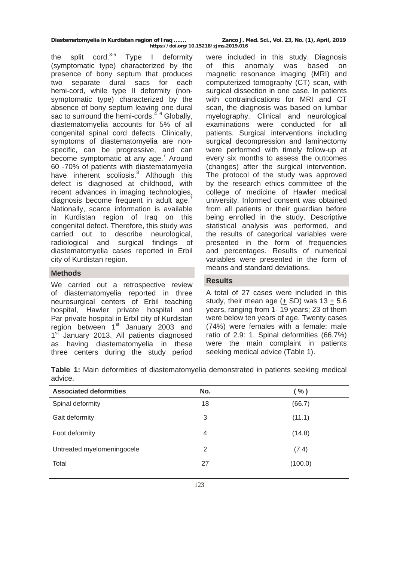**Diastematomyelia in Kurdistan region of Iraq ……. Zanco J. Med. Sci., Vol. 23, No. (1), April, 2019 https://doi.org/10.15218/zjms.2019.016**

the split cord. $3-5$  Type I deformity (symptomatic type) characterized by the presence of bony septum that produces two separate dural sacs for each hemi-cord, while type II deformity (nonsymptomatic type) characterized by the absence of bony septum leaving one dural sac to surround the hemi-cords.<sup> $4-6$ </sup> Globally, diastematomyelia accounts for 5% of all congenital spinal cord defects. Clinically, symptoms of diastematomyelia are nonspecific, can be progressive, and can become symptomatic at any age.<sup>7</sup> Around 60 -70% of patients with diastematomyelia have inherent scoliosis.<sup>8</sup> Although this defect is diagnosed at childhood, with recent advances in imaging technologies, diagnosis become frequent in adult age.<sup>7</sup> Nationally, scarce information is available in Kurdistan region of Iraq on this congenital defect. Therefore, this study was carried out to describe neurological, radiological and surgical findings of diastematomyelia cases reported in Erbil city of Kurdistan region.

### **Methods**

We carried out a retrospective review of diastematomyelia reported in three neurosurgical centers of Erbil teaching hospital, Hawler private hospital and Par private hospital in Erbil city of Kurdistan region between  $1<sup>st</sup>$  January 2003 and 1<sup>st</sup> January 2013. All patients diagnosed as having diastematomyelia in these three centers during the study period

were included in this study. Diagnosis of this anomaly was based on magnetic resonance imaging (MRI) and computerized tomography (CT) scan, with surgical dissection in one case. In patients with contraindications for MRI and CT scan, the diagnosis was based on lumbar myelography. Clinical and neurological examinations were conducted for all patients. Surgical interventions including surgical decompression and laminectomy were performed with timely follow-up at every six months to assess the outcomes (changes) after the surgical intervention. The protocol of the study was approved by the research ethics committee of the college of medicine of Hawler medical university. Informed consent was obtained from all patients or their guardian before being enrolled in the study. Descriptive statistical analysis was performed, and the results of categorical variables were presented in the form of frequencies and percentages. Results of numerical variables were presented in the form of means and standard deviations.

## **Results**

A total of 27 cases were included in this study, their mean age  $(± SD)$  was 13  $+ 5.6$ years, ranging from 1- 19 years; 23 of them were below ten years of age. Twenty cases (74%) were females with a female: male ratio of 2.9: 1. Spinal deformities (66.7%) were the main complaint in patients seeking medical advice (Table 1).

**Table 1:** Main deformities of diastematomyelia demonstrated in patients seeking medical advice.

| <b>Associated deformities</b> | No. | $($ % $)$ |
|-------------------------------|-----|-----------|
| Spinal deformity              | 18  | (66.7)    |
| Gait deformity                | 3   | (11.1)    |
| Foot deformity                | 4   | (14.8)    |
| Untreated myelomeningocele    | 2   | (7.4)     |
| Total                         | 27  | (100.0)   |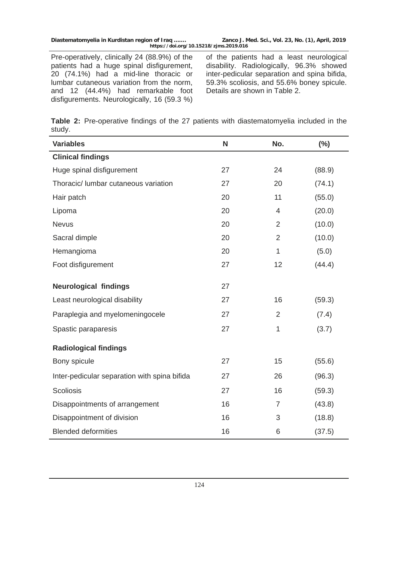Pre-operatively, clinically 24 (88.9%) of the patients had a huge spinal disfigurement, 20 (74.1%) had a mid-line thoracic or lumbar cutaneous variation from the norm, and 12 (44.4%) had remarkable foot disfigurements. Neurologically, 16 (59.3 %)

of the patients had a least neurological disability. Radiologically, 96.3% showed inter-pedicular separation and spina bifida, 59.3% scoliosis, and 55.6% boney spicule. Details are shown in Table 2.

|        |  |  |  | Table 2: Pre-operative findings of the 27 patients with diastematomyelia included in the |  |  |
|--------|--|--|--|------------------------------------------------------------------------------------------|--|--|
| study. |  |  |  |                                                                                          |  |  |

| <b>Variables</b>                             | N  | No.            | (%)    |
|----------------------------------------------|----|----------------|--------|
| <b>Clinical findings</b>                     |    |                |        |
| Huge spinal disfigurement                    | 27 | 24             | (88.9) |
| Thoracic/ lumbar cutaneous variation         | 27 | 20             | (74.1) |
| Hair patch                                   | 20 | 11             | (55.0) |
| Lipoma                                       | 20 | 4              | (20.0) |
| <b>Nevus</b>                                 | 20 | $\overline{2}$ | (10.0) |
| Sacral dimple                                | 20 | $\overline{2}$ | (10.0) |
| Hemangioma                                   | 20 | $\mathbf{1}$   | (5.0)  |
| Foot disfigurement                           | 27 | 12             | (44.4) |
| <b>Neurological findings</b>                 | 27 |                |        |
| Least neurological disability                | 27 | 16             | (59.3) |
| Paraplegia and myelomeningocele              | 27 | $\overline{2}$ | (7.4)  |
| Spastic paraparesis                          | 27 | 1              | (3.7)  |
| <b>Radiological findings</b>                 |    |                |        |
| Bony spicule                                 | 27 | 15             | (55.6) |
| Inter-pedicular separation with spina bifida | 27 | 26             | (96.3) |
| <b>Scoliosis</b>                             | 27 | 16             | (59.3) |
| Disappointments of arrangement               | 16 | $\overline{7}$ | (43.8) |
| Disappointment of division                   | 16 | 3              | (18.8) |
| <b>Blended deformities</b>                   | 16 | 6              | (37.5) |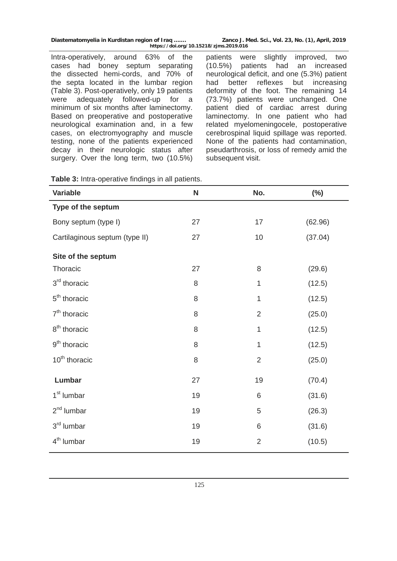**Diastematomyelia in Kurdistan region of Iraq ……. Zanco J. Med. Sci., Vol. 23, No. (1), April, 2019 https://doi.org/10.15218/zjms.2019.016**

Intra-operatively, around 63% of the cases had boney septum separating the dissected hemi-cords, and 70% of the septa located in the lumbar region (Table 3). Post-operatively, only 19 patients were adequately followed-up for a minimum of six months after laminectomy. Based on preoperative and postoperative neurological examination and, in a few cases, on electromyography and muscle testing, none of the patients experienced decay in their neurologic status after surgery. Over the long term, two (10.5%)

patients were slightly improved, two (10.5%) patients had an increased neurological deficit, and one (5.3%) patient had better reflexes but increasing deformity of the foot. The remaining 14 (73.7%) patients were unchanged. One patient died of cardiac arrest during laminectomy. In one patient who had related myelomeningocele, postoperative cerebrospinal liquid spillage was reported. None of the patients had contamination, pseudarthrosis, or loss of remedy amid the subsequent visit.

| <b>Variable</b>                | N  | No.            | $(\%)$  |
|--------------------------------|----|----------------|---------|
| Type of the septum             |    |                |         |
| Bony septum (type I)           | 27 | 17             | (62.96) |
| Cartilaginous septum (type II) | 27 | 10             | (37.04) |
| Site of the septum             |    |                |         |
| Thoracic                       | 27 | 8              | (29.6)  |
| 3 <sup>rd</sup> thoracic       | 8  | 1              | (12.5)  |
| 5 <sup>th</sup> thoracic       | 8  | 1              | (12.5)  |
| 7 <sup>th</sup> thoracic       | 8  | $\overline{2}$ | (25.0)  |
| 8 <sup>th</sup> thoracic       | 8  | 1              | (12.5)  |
| 9 <sup>th</sup> thoracic       | 8  | 1              | (12.5)  |
| 10 <sup>th</sup> thoracic      | 8  | $\overline{2}$ | (25.0)  |
| Lumbar                         | 27 | 19             | (70.4)  |
| 1 <sup>st</sup> lumbar         | 19 | $\,6\,$        | (31.6)  |
| 2 <sup>nd</sup> lumbar         | 19 | $\mathbf 5$    | (26.3)  |
| 3 <sup>rd</sup> lumbar         | 19 | 6              | (31.6)  |
| 4 <sup>th</sup> lumbar         | 19 | $\overline{2}$ | (10.5)  |

**Table 3:** Intra-operative findings in all patients.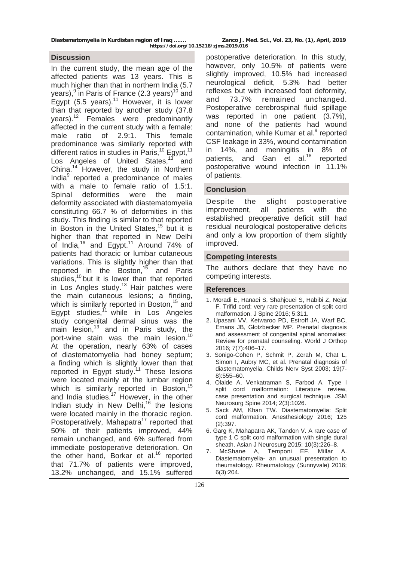**Diastematomyelia in Kurdistan region of Iraq ……. Zanco J. Med. Sci., Vol. 23, No. (1), April, 2019 https://doi.org/10.15218/zjms.2019.016**

#### **Discussion**

In the current study, the mean age of the affected patients was 13 years. This is much higher than that in northern India (5.7) years),<sup>9</sup> in Paris of France (2.3 years)<sup>10</sup> and Egypt  $(5.5 \text{ years})$ .<sup>11</sup> However, it is lower than that reported by another study (37.8 years).<sup>12</sup> Females were predominantly affected in the current study with a female: male ratio of 2.9:1. This female predominance was similarly reported with different ratios in studies in Paris,<sup>10</sup> Egypt,<sup>11</sup> Los Angeles of United States,<sup>13</sup> and China.14 However, the study in Northern India<sup>9</sup> reported a predominance of males with a male to female ratio of 1.5:1. Spinal deformities were the main deformity associated with diastematomyelia constituting 66.7 % of deformities in this study. This finding is similar to that reported in Boston in the United States,<sup>15</sup> but it is higher than that reported in New Delhi of India,<sup>16</sup> and Egypt.<sup>11</sup> Around 74% of patients had thoracic or lumbar cutaneous variations. This is slightly higher than that reported in the Boston, $15$  and Paris studies,<sup>10</sup> but it is lower than that reported in Los Angles study.<sup>13</sup> Hair patches were the main cutaneous lesions; a finding, which is similarly reported in Boston,<sup>15</sup> and Egypt studies,  $11$  while in Los Angeles study congenital dermal sinus was the main lesion, $13$  and in Paris study, the port-wine stain was the main lesion.<sup>10</sup> At the operation, nearly 63% of cases of diastematomyelia had boney septum; a finding which is slightly lower than that reported in Egypt study.<sup>11</sup> These lesions were located mainly at the lumbar region which is similarly reported in Boston,<sup>15</sup> and India studies.<sup>17</sup> However, in the other Indian study in New Delhi.<sup>16</sup> the lesions were located mainly in the thoracic region. Postoperatively, Mahapatra<sup>17</sup> reported that 50% of their patients improved, 44% remain unchanged, and 6% suffered from immediate postoperative deterioration. On the other hand, Borkar et al.<sup>16</sup> reported that 71.7% of patients were improved, 13.2% unchanged, and 15.1% suffered

postoperative deterioration. In this study, however, only 10.5% of patients were slightly improved, 10.5% had increased neurological deficit, 5.3% had better reflexes but with increased foot deformity, and 73.7% remained unchanged. Postoperative cerebrospinal fluid spillage was reported in one patient (3.7%), and none of the patients had wound contamination, while Kumar et al.<sup>9</sup> reported CSF leakage in 33%, wound contamination in 14%, and meningitis in 8% of patients, and Gan et al.<sup>18</sup> reported postoperative wound infection in 11.1% of patients.

### **Conclusion**

Despite the slight postoperative improvement, all patients with the established preoperative deficit still had residual neurological postoperative deficits and only a low proportion of them slightly improved.

#### **Competing interests**

The authors declare that they have no competing interests.

#### **References**

- 1. Moradi E, Hanaei S, Shahjouei S, Habibi Z, Nejat F. Trifid cord; very rare presentation of split cord malformation. J Spine 2016; 5:311.
- 2. Upasani VV, Ketwaroo PD, Estroff JA, Warf BC, Emans JB, Glotzbecker MP. Prenatal diagnosis and assessment of congenital spinal anomalies: Review for prenatal counseling. World J Orthop 2016; 7(7):406–17.
- 3. Sonigo-Cohen P, Schmit P, Zerah M, Chat L, Simon I, Aubry MC, et al. Prenatal diagnosis of diastematomyelia. Childs Nerv Syst 2003; 19(7- 8):555–60.
- 4. Olaide A, Venkatraman S, Farbod A. Type I split cord malformation: Literature review, case presentation and surgical technique. JSM Neurosurg Spine 2014; 2(3):1026.
- 5. Sack AM, Khan TW. Diastematomyelia: Split cord malformation. Anesthesiology 2016; 125 (2):397.
- 6. Garg K, Mahapatra AK, Tandon V. A rare case of type 1 C split cord malformation with single dural sheath. Asian J Neurosurg 2015; 10(3):226–8.
- 7. McShane A, Temponi EF, Millar A. Diastematomyelia- an unusual presentation to rheumatology. Rheumatology (Sunnyvale) 2016; 6(3):204.